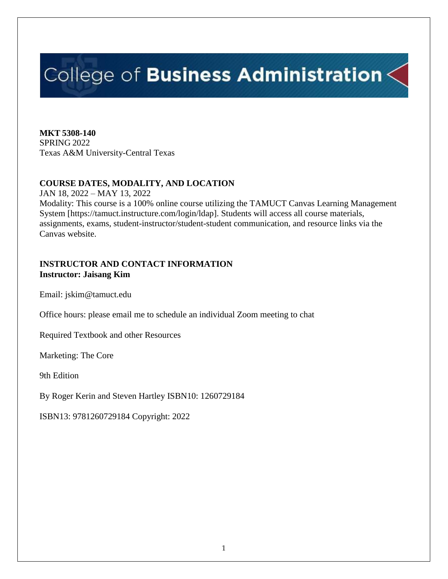# College of Business Administration $\leq$

**MKT 5308-140** SPRING 2022 Texas A&M University-Central Texas

# **COURSE DATES, MODALITY, AND LOCATION**

JAN 18, 2022 – MAY 13, 2022 Modality: This course is a 100% online course utilizing the TAMUCT Canvas Learning Management System [https://tamuct.instructure.com/login/ldap]. Students will access all course materials, assignments, exams, student-instructor/student-student communication, and resource links via the Canvas website.

## **INSTRUCTOR AND CONTACT INFORMATION Instructor: Jaisang Kim**

Email: jskim@tamuct.edu

Office hours: please email me to schedule an individual Zoom meeting to chat

Required Textbook and other Resources

Marketing: The Core

9th Edition

By Roger Kerin and Steven Hartley ISBN10: 1260729184

ISBN13: 9781260729184 Copyright: 2022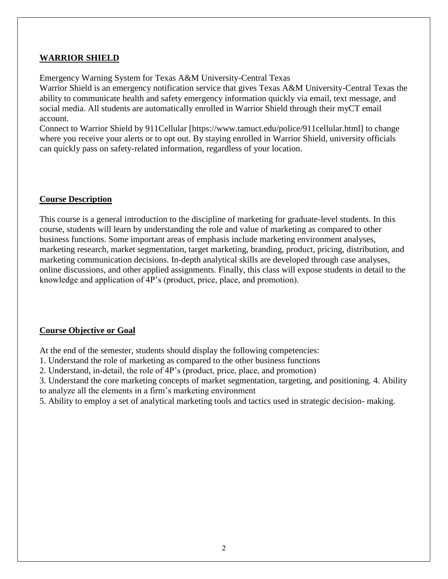# **WARRIOR SHIELD**

Emergency Warning System for Texas A&M University-Central Texas

Warrior Shield is an emergency notification service that gives Texas A&M University-Central Texas the ability to communicate health and safety emergency information quickly via email, text message, and social media. All students are automatically enrolled in Warrior Shield through their myCT email account.

Connect to Warrior Shield by 911Cellular [https://www.tamuct.edu/police/911cellular.html] to change where you receive your alerts or to opt out. By staying enrolled in Warrior Shield, university officials can quickly pass on safety-related information, regardless of your location.

## **Course Description**

This course is a general introduction to the discipline of marketing for graduate-level students. In this course, students will learn by understanding the role and value of marketing as compared to other business functions. Some important areas of emphasis include marketing environment analyses, marketing research, market segmentation, target marketing, branding, product, pricing, distribution, and marketing communication decisions. In-depth analytical skills are developed through case analyses, online discussions, and other applied assignments. Finally, this class will expose students in detail to the knowledge and application of 4P's (product, price, place, and promotion).

### **Course Objective or Goal**

At the end of the semester, students should display the following competencies:

- 1. Understand the role of marketing as compared to the other business functions
- 2. Understand, in-detail, the role of 4P's (product, price, place, and promotion)

3. Understand the core marketing concepts of market segmentation, targeting, and positioning. 4. Ability to analyze all the elements in a firm's marketing environment

5. Ability to employ a set of analytical marketing tools and tactics used in strategic decision- making.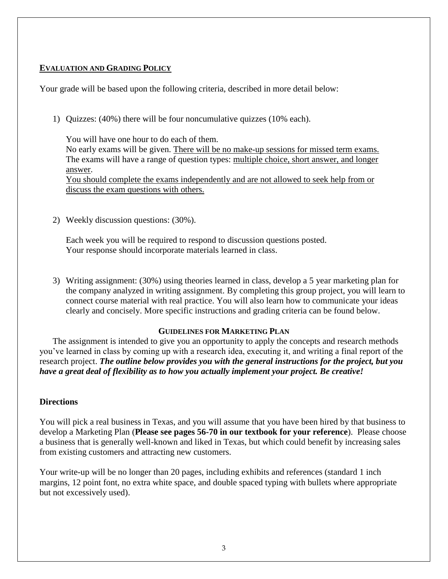## **EVALUATION AND GRADING POLICY**

Your grade will be based upon the following criteria, described in more detail below:

1) Quizzes: (40%) there will be four noncumulative quizzes (10% each).

You will have one hour to do each of them. No early exams will be given. There will be no make‐up sessions for missed term exams. The exams will have a range of question types: multiple choice, short answer, and longer answer. You should complete the exams independently and are not allowed to seek help from or

discuss the exam questions with others.

2) Weekly discussion questions: (30%).

Each week you will be required to respond to discussion questions posted. Your response should incorporate materials learned in class.

3) Writing assignment: (30%) using theories learned in class, develop a 5 year marketing plan for the company analyzed in writing assignment. By completing this group project, you will learn to connect course material with real practice. You will also learn how to communicate your ideas clearly and concisely. More specific instructions and grading criteria can be found below.

### **GUIDELINES FOR MARKETING PLAN**

The assignment is intended to give you an opportunity to apply the concepts and research methods you've learned in class by coming up with a research idea, executing it, and writing a final report of the research project. *The outline below provides you with the general instructions for the project, but you have a great deal of flexibility as to how you actually implement your project. Be creative!* 

### **Directions**

You will pick a real business in Texas, and you will assume that you have been hired by that business to develop a Marketing Plan (**Please see pages 56-70 in our textbook for your reference**). Please choose a business that is generally well-known and liked in Texas, but which could benefit by increasing sales from existing customers and attracting new customers.

Your write-up will be no longer than 20 pages, including exhibits and references (standard 1 inch margins, 12 point font, no extra white space, and double spaced typing with bullets where appropriate but not excessively used).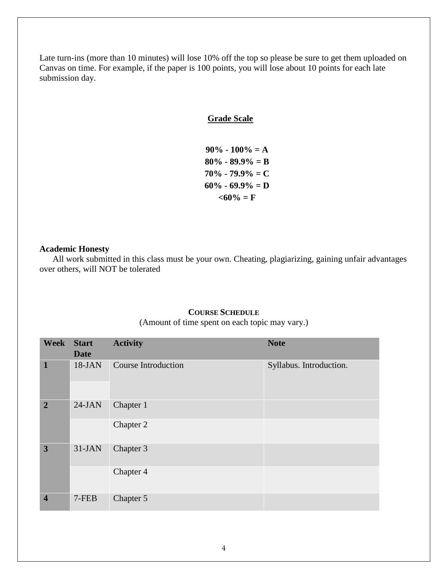Late turn-ins (more than 10 minutes) will lose 10% off the top so please be sure to get them uploaded on Canvas on time. For example, if the paper is 100 points, you will lose about 10 points for each late submission day.

#### **Grade Scale**

**90% - 100% = A 80% - 89.9% = B 70% - 79.9% = C 60% - 69.9% = D**  $<60\% = F$ 

#### **Academic Honesty**

All work submitted in this class must be your own. Cheating, plagiarizing, gaining unfair advantages over others, will NOT be tolerated

#### **COURSE SCHEDULE**

(Amount of time spent on each topic may vary.)

| <b>Week</b>             | <b>Start</b> | <b>Activity</b>            | <b>Note</b>             |
|-------------------------|--------------|----------------------------|-------------------------|
|                         | <b>Date</b>  |                            |                         |
| $\mathbf{1}$            | $18-JAN$     | <b>Course Introduction</b> | Syllabus. Introduction. |
|                         |              |                            |                         |
| $\overline{2}$          | $24-JAN$     | Chapter 1                  |                         |
|                         |              | Chapter 2                  |                         |
| 3                       | $31-JAN$     | Chapter 3                  |                         |
|                         |              | Chapter 4                  |                         |
| $\overline{\mathbf{4}}$ | 7-FEB        | Chapter 5                  |                         |